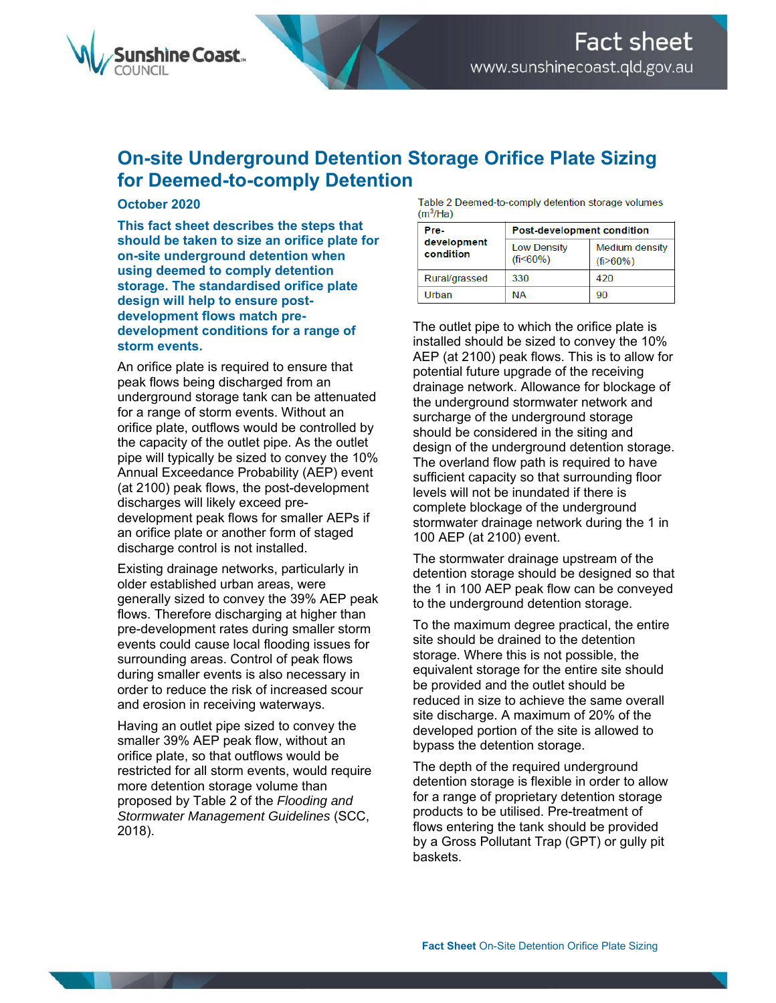

## **On-site Underground Detention Storage Orifice Plate Sizing for Deemed-to-comply Detention**

## **October 2020**

**This fact sheet describes the steps that should be taken to size an orifice plate for on-site underground detention when using deemed to comply detention storage. The standardised orifice plate design will help to ensure postdevelopment flows match predevelopment conditions for a range of storm events.** 

An orifice plate is required to ensure that peak flows being discharged from an underground storage tank can be attenuated for a range of storm events. Without an orifice plate, outflows would be controlled by the capacity of the outlet pipe. As the outlet pipe will typically be sized to convey the 10% Annual Exceedance Probability (AEP) event (at 2100) peak flows, the post-development discharges will likely exceed predevelopment peak flows for smaller AEPs if an orifice plate or another form of staged discharge control is not installed.

Existing drainage networks, particularly in older established urban areas, were generally sized to convey the 39% AEP peak flows. Therefore discharging at higher than pre-development rates during smaller storm events could cause local flooding issues for surrounding areas. Control of peak flows during smaller events is also necessary in order to reduce the risk of increased scour and erosion in receiving waterways.

Having an outlet pipe sized to convey the smaller 39% AEP peak flow, without an orifice plate, so that outflows would be restricted for all storm events, would require more detention storage volume than proposed by Table 2 of the *Flooding and Stormwater Management Guidelines* (SCC, 2018).

Table 2 Deemed-to-comply detention storage volumes  $(m<sup>3</sup>/Ha)$ 

| Pre-<br>development<br>condition | Post-development condition           |                                                |
|----------------------------------|--------------------------------------|------------------------------------------------|
|                                  | <b>Low Density</b><br>$(f_1 < 60\%)$ | <b>Medium density</b><br>(f <sub>i</sub> >60%) |
| Rural/grassed                    | 330                                  | 420                                            |
| Urban                            | <b>NA</b>                            | 90                                             |

The outlet pipe to which the orifice plate is installed should be sized to convey the 10% AEP (at 2100) peak flows. This is to allow for potential future upgrade of the receiving drainage network. Allowance for blockage of the underground stormwater network and surcharge of the underground storage should be considered in the siting and design of the underground detention storage. The overland flow path is required to have sufficient capacity so that surrounding floor levels will not be inundated if there is complete blockage of the underground stormwater drainage network during the 1 in 100 AEP (at 2100) event.

The stormwater drainage upstream of the detention storage should be designed so that the 1 in 100 AEP peak flow can be conveyed to the underground detention storage.

To the maximum degree practical, the entire site should be drained to the detention storage. Where this is not possible, the equivalent storage for the entire site should be provided and the outlet should be reduced in size to achieve the same overall site discharge. A maximum of 20% of the developed portion of the site is allowed to bypass the detention storage.

The depth of the required underground detention storage is flexible in order to allow for a range of proprietary detention storage products to be utilised. Pre-treatment of flows entering the tank should be provided by a Gross Pollutant Trap (GPT) or gully pit baskets.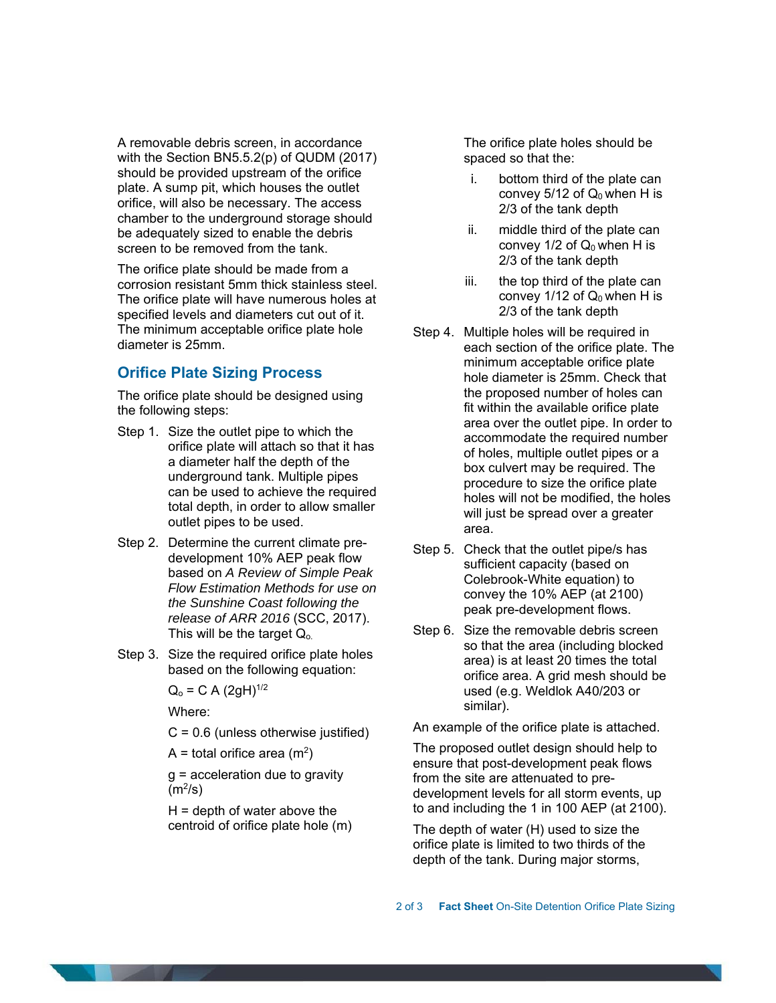A removable debris screen, in accordance with the Section BN5.5.2(p) of QUDM (2017) should be provided upstream of the orifice plate. A sump pit, which houses the outlet orifice, will also be necessary. The access chamber to the underground storage should be adequately sized to enable the debris screen to be removed from the tank.

The orifice plate should be made from a corrosion resistant 5mm thick stainless steel. The orifice plate will have numerous holes at specified levels and diameters cut out of it. The minimum acceptable orifice plate hole diameter is 25mm.

## **Orifice Plate Sizing Process**

The orifice plate should be designed using the following steps:

- Step 1. Size the outlet pipe to which the orifice plate will attach so that it has a diameter half the depth of the underground tank. Multiple pipes can be used to achieve the required total depth, in order to allow smaller outlet pipes to be used.
- Step 2. Determine the current climate predevelopment 10% AEP peak flow based on *A Review of Simple Peak Flow Estimation Methods for use on the Sunshine Coast following the release of ARR 2016* (SCC, 2017). This will be the target Q<sub>o.</sub>
- Step 3. Size the required orifice plate holes based on the following equation:

 $Q_0 = C A (2gH)^{1/2}$ 

Where:

 $C = 0.6$  (unless otherwise justified)

A = total orifice area (m<sup>2</sup>)

g = acceleration due to gravity  $(m^2/s)$ 

 $H =$  depth of water above the centroid of orifice plate hole (m) The orifice plate holes should be spaced so that the:

- i. bottom third of the plate can convey  $5/12$  of  $Q_0$  when H is 2/3 of the tank depth
- ii. middle third of the plate can convey  $1/2$  of  $Q_0$  when H is 2/3 of the tank depth
- iii. the top third of the plate can convey 1/12 of  $Q_0$  when H is 2/3 of the tank depth
- Step 4. Multiple holes will be required in each section of the orifice plate. The minimum acceptable orifice plate hole diameter is 25mm. Check that the proposed number of holes can fit within the available orifice plate area over the outlet pipe. In order to accommodate the required number of holes, multiple outlet pipes or a box culvert may be required. The procedure to size the orifice plate holes will not be modified, the holes will just be spread over a greater area.
- Step 5. Check that the outlet pipe/s has sufficient capacity (based on Colebrook-White equation) to convey the 10% AEP (at 2100) peak pre-development flows.
- Step 6. Size the removable debris screen so that the area (including blocked area) is at least 20 times the total orifice area. A grid mesh should be used (e.g. Weldlok A40/203 or similar).

An example of the orifice plate is attached.

The proposed outlet design should help to ensure that post-development peak flows from the site are attenuated to predevelopment levels for all storm events, up to and including the 1 in 100 AEP (at 2100).

The depth of water (H) used to size the orifice plate is limited to two thirds of the depth of the tank. During major storms,